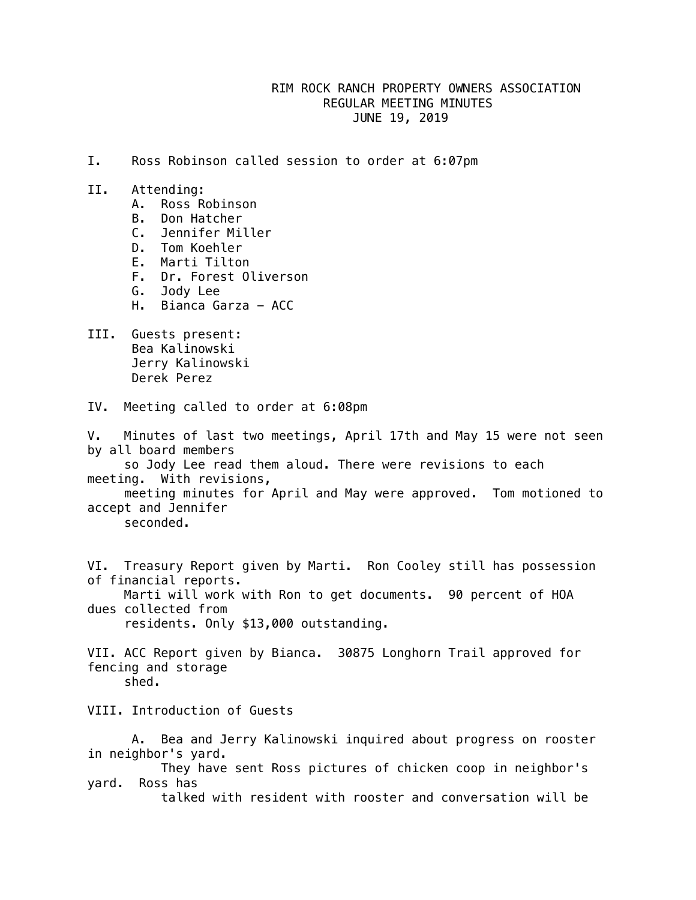## RIM ROCK RANCH PROPERTY OWNERS ASSOCIATION REGULAR MEETING MINUTES JUNE 19, 2019

- I. Ross Robinson called session to order at 6:07pm
- II. Attending:
	- A. Ross Robinson
	- B. Don Hatcher
	- C. Jennifer Miller
	- D. Tom Koehler
	- E. Marti Tilton
	- F. Dr. Forest Oliverson
	- G. Jody Lee
	- H. Bianca Garza ACC
- III. Guests present: Bea Kalinowski Jerry Kalinowski Derek Perez
- IV. Meeting called to order at 6:08pm

V. Minutes of last two meetings, April 17th and May 15 were not seen by all board members

 so Jody Lee read them aloud. There were revisions to each meeting. With revisions,

 meeting minutes for April and May were approved. Tom motioned to accept and Jennifer

seconded.

VI. Treasury Report given by Marti. Ron Cooley still has possession of financial reports.

 Marti will work with Ron to get documents. 90 percent of HOA dues collected from residents. Only \$13,000 outstanding.

VII. ACC Report given by Bianca. 30875 Longhorn Trail approved for fencing and storage

VIII. Introduction of Guests

 A. Bea and Jerry Kalinowski inquired about progress on rooster in neighbor's yard.

 They have sent Ross pictures of chicken coop in neighbor's yard. Ross has

talked with resident with rooster and conversation will be

shed.